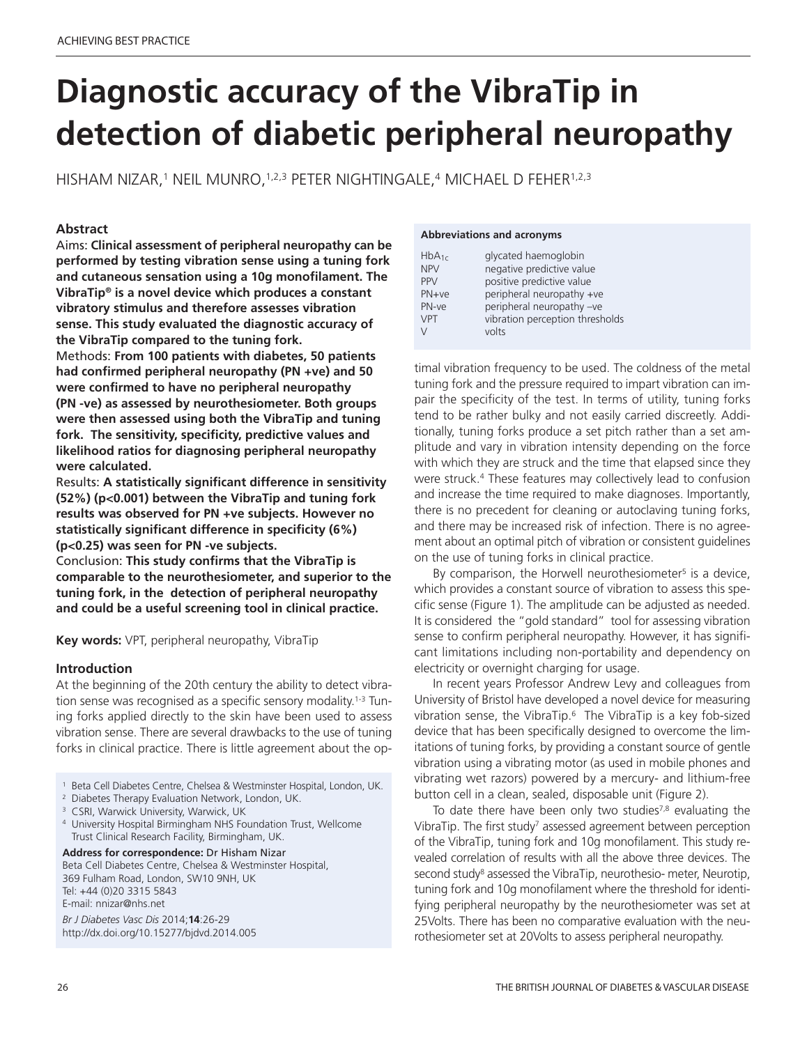# **Diagnostic accuracy of the VibraTip in detection of diabetic peripheral neuropathy**

HISHAM NIZAR, <sup>1</sup> NEIL MUNRO, 1,2,3 PETER NIGHTINGALE, <sup>4</sup> MICHAEL D FEHER1,2,3

# **Abstract**

Aims: **Clinical assessment of peripheral neuropathy can be performed by testing vibration sense using a tuning fork and cutaneous sensation using a 10g monofilament. The VibraTip® is a novel device which produces a constant vibratory stimulus and therefore assesses vibration sense. This study evaluated the diagnostic accuracy of the VibraTip compared to the tuning fork.**

Methods: **From 100 patients with diabetes, 50 patients had confirmed peripheral neuropathy (PN +ve) and 50 were confirmed to have no peripheral neuropathy (PN -ve) as assessed by neurothesiometer. Both groups were then assessed using both the VibraTip and tuning fork. The sensitivity, specificity, predictive values and likelihood ratios for diagnosing peripheral neuropathy were calculated.**

Results: **A statistically significant difference in sensitivity (52%) (p<0.001) between the VibraTip and tuning fork results was observed for PN +ve subjects. However no statistically significant difference in specificity (6%) (p<0.25) was seen for PN -ve subjects.**

Conclusion: **This study confirms that the VibraTip is comparable to the neurothesiometer, and superior to the tuning fork, in the detection of peripheral neuropathy and could be a useful screening tool in clinical practice.**

**Key words:** VPT, peripheral neuropathy, VibraTip

# **Introduction**

At the beginning of the 20th century the ability to detect vibration sense was recognised as a specific sensory modality.<sup>1-3</sup> Tuning forks applied directly to the skin have been used to assess vibration sense. There are several drawbacks to the use of tuning forks in clinical practice. There is little agreement about the op-

- <sup>1</sup> Beta Cell Diabetes Centre, Chelsea & Westminster Hospital, London, UK.
- <sup>2</sup> Diabetes Therapy Evaluation Network, London, UK.
- <sup>3</sup> CSRI, Warwick University, Warwick, UK
- <sup>4</sup> University Hospital Birmingham NHS Foundation Trust, Wellcome Trust Clinical Research Facility, Birmingham, UK.

**Address for correspondence:** Dr Hisham Nizar Beta Cell Diabetes Centre, Chelsea & Westminster Hospital, 369 Fulham Road, London, SW10 9NH, UK Tel: +44 (0)20 3315 5843 E-mail: nnizar@nhs.net

*Br J Diabetes Vasc Dis* 2014;**14**:26-29 http://dx.doi.org/10.15277/bjdvd.2014.005

#### **Abbreviations and acronyms**

| $HbA_{1c}$ | glycated haemoglobin            |
|------------|---------------------------------|
| <b>NPV</b> | negative predictive value       |
| <b>PPV</b> | positive predictive value       |
| $PN+ve$    | peripheral neuropathy +ve       |
| PN-ve      | peripheral neuropathy -ve       |
| <b>VPT</b> | vibration perception thresholds |
| V          | volts                           |

timal vibration frequency to be used. The coldness of the metal tuning fork and the pressure required to impart vibration can impair the specificity of the test. In terms of utility, tuning forks tend to be rather bulky and not easily carried discreetly. Additionally, tuning forks produce a set pitch rather than a set amplitude and vary in vibration intensity depending on the force with which they are struck and the time that elapsed since they were struck. <sup>4</sup> These features may collectively lead to confusion and increase the time required to make diagnoses. Importantly, there is no precedent for cleaning or autoclaving tuning forks, and there may be increased risk of infection. There is no agreement about an optimal pitch of vibration or consistent guidelines on the use of tuning forks in clinical practice.

By comparison, the Horwell neurothesiometer<sup>5</sup> is a device, which provides a constant source of vibration to assess this specific sense (Figure 1). The amplitude can be adjusted as needed. It is considered the "gold standard" tool for assessing vibration sense to confirm peripheral neuropathy. However, it has significant limitations including non-portability and dependency on electricity or overnight charging for usage.

In recent years Professor Andrew Levy and colleagues from University of Bristol have developed a novel device for measuring vibration sense, the VibraTip. <sup>6</sup> The VibraTip is a key fob-sized device that has been specifically designed to overcome the limitations of tuning forks, by providing a constant source of gentle vibration using a vibrating motor (as used in mobile phones and vibrating wet razors) powered by a mercury- and lithium-free button cell in a clean, sealed, disposable unit (Figure 2).

To date there have been only two studies<sup>7,8</sup> evaluating the VibraTip. The first study<sup>7</sup> assessed agreement between perception of the VibraTip, tuning fork and 10g monofilament. This study revealed correlation of results with all the above three devices. The second study<sup>8</sup> assessed the VibraTip, neurothesio- meter, Neurotip, tuning fork and 10g monofilament where the threshold for identifying peripheral neuropathy by the neurothesiometer was set at 25Volts. There has been no comparative evaluation with the neurothesiometer set at 20Volts to assess peripheral neuropathy.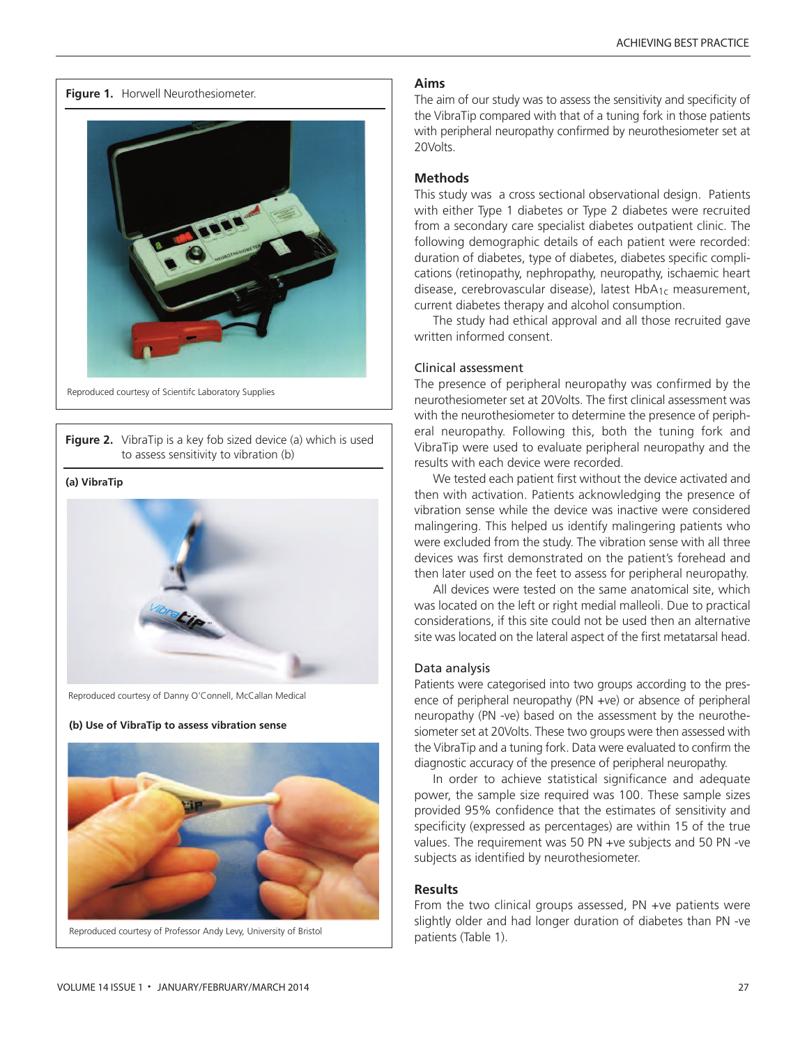**Figure 1.** Horwell Neurothesiometer.



Reproduced courtesy of Scientifc Laboratory Supplies

**Figure 2.** VibraTip is a key fob sized device (a) which is used to assess sensitivity to vibration (b)

#### **(a) VibraTip**



Reproduced courtesy of Danny O'Connell, McCallan Medical

#### **(b) Use of VibraTip to assess vibration sense**



Reproduced courtesy of Professor Andy Levy, University of Bristol

### **Aims**

The aim of our study was to assess the sensitivity and specificity of the VibraTip compared with that of a tuning fork in those patients with peripheral neuropathy confirmed by neurothesiometer set at 20Volts.

## **Methods**

This study was a cross sectional observational design. Patients with either Type 1 diabetes or Type 2 diabetes were recruited from a secondary care specialist diabetes outpatient clinic. The following demographic details of each patient were recorded: duration of diabetes, type of diabetes, diabetes specific complications (retinopathy, nephropathy, neuropathy, ischaemic heart disease, cerebrovascular disease), latest HbA<sub>1c</sub> measurement, current diabetes therapy and alcohol consumption.

The study had ethical approval and all those recruited gave written informed consent.

#### Clinical assessment

The presence of peripheral neuropathy was confirmed by the neurothesiometer set at 20Volts. The first clinical assessment was with the neurothesiometer to determine the presence of peripheral neuropathy. Following this, both the tuning fork and VibraTip were used to evaluate peripheral neuropathy and the results with each device were recorded.

We tested each patient first without the device activated and then with activation. Patients acknowledging the presence of vibration sense while the device was inactive were considered malingering. This helped us identify malingering patients who were excluded from the study. The vibration sense with all three devices was first demonstrated on the patient's forehead and then later used on the feet to assess for peripheral neuropathy.

All devices were tested on the same anatomical site, which was located on the left or right medial malleoli. Due to practical considerations, if this site could not be used then an alternative site was located on the lateral aspect of the first metatarsal head.

#### Data analysis

Patients were categorised into two groups according to the presence of peripheral neuropathy (PN +ve) or absence of peripheral neuropathy (PN -ve) based on the assessment by the neurothesiometer set at 20Volts. These two groups were then assessed with the VibraTip and a tuning fork. Data were evaluated to confirm the diagnostic accuracy of the presence of peripheral neuropathy.

In order to achieve statistical significance and adequate power, the sample size required was 100. These sample sizes provided 95% confidence that the estimates of sensitivity and specificity (expressed as percentages) are within 15 of the true values. The requirement was 50 PN +ve subjects and 50 PN -ve subjects as identified by neurothesiometer.

## **Results**

From the two clinical groups assessed, PN +ve patients were slightly older and had longer duration of diabetes than PN -ve patients (Table 1).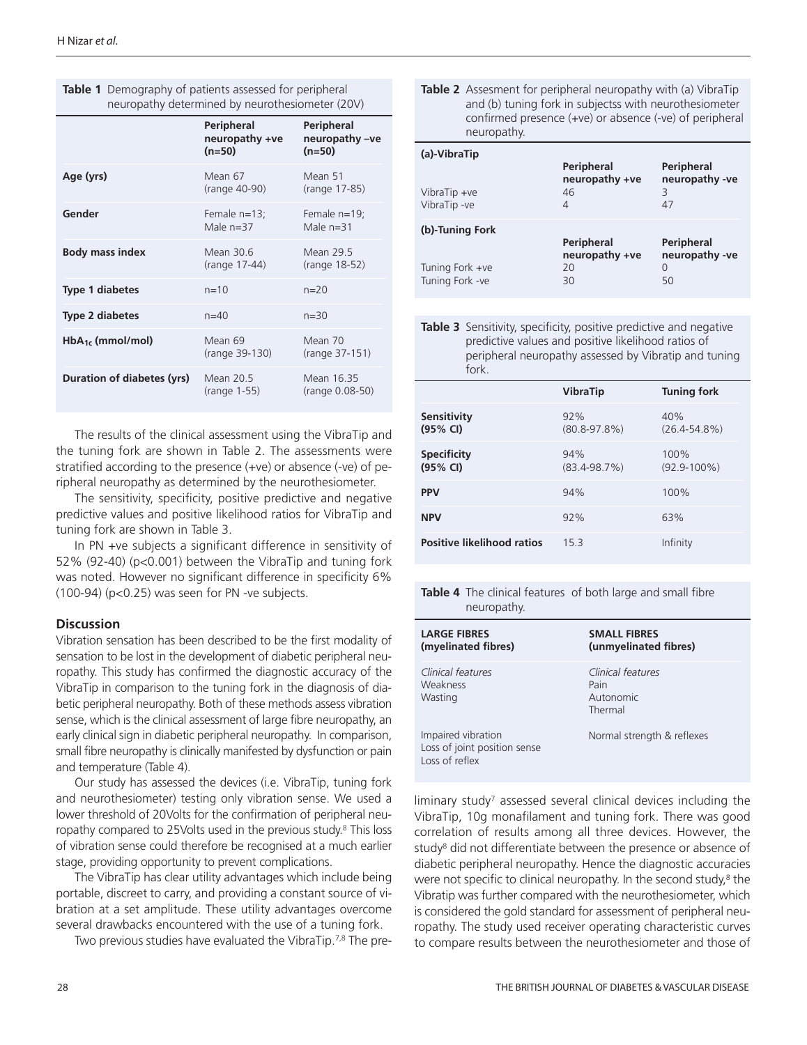|                            | <b>Peripheral</b><br>neuropathy +ve<br>$(n=50)$ | Peripheral<br>neuropathy-ve<br>$(n=50)$ |
|----------------------------|-------------------------------------------------|-----------------------------------------|
| Age (yrs)                  | Mean 67<br>(range 40-90)                        | Mean 51<br>(range 17-85)                |
| Gender                     | Female $n=13$ ;<br>Male $n=37$                  | Female n=19;<br>Male $n=31$             |
| <b>Body mass index</b>     | Mean 30.6<br>(range 17-44)                      | Mean 29.5<br>(range 18-52)              |
| <b>Type 1 diabetes</b>     | $n = 10$                                        | $n = 20$                                |
| <b>Type 2 diabetes</b>     | $n=40$                                          | $n = 30$                                |
| $HbA_{1c}$ (mmol/mol)      | Mean 69<br>(range 39-130)                       | Mean 70<br>(range 37-151)               |
| Duration of diabetes (yrs) | Mean 20.5<br>(range 1-55)                       | Mean 16.35<br>(range 0.08-50)           |

**Table 1** Demography of patients assessed for peripheral neuropathy determined by neurothesiometer (20V)

The results of the clinical assessment using the VibraTip and the tuning fork are shown in Table 2. The assessments were stratified according to the presence (+ve) or absence (-ve) of peripheral neuropathy as determined by the neurothesiometer.

The sensitivity, specificity, positive predictive and negative predictive values and positive likelihood ratios for VibraTip and tuning fork are shown in Table 3.

In PN +ve subjects a significant difference in sensitivity of 52% (92-40) (p<0.001) between the VibraTip and tuning fork was noted. However no significant difference in specificity 6% (100-94) (p<0.25) was seen for PN -ve subjects.

# **Discussion**

Vibration sensation has been described to be the first modality of sensation to be lost in the development of diabetic peripheral neuropathy. This study has confirmed the diagnostic accuracy of the VibraTip in comparison to the tuning fork in the diagnosis of diabetic peripheral neuropathy. Both of these methods assess vibration sense, which is the clinical assessment of large fibre neuropathy, an early clinical sign in diabetic peripheral neuropathy. In comparison, small fibre neuropathy is clinically manifested by dysfunction or pain and temperature (Table 4).

Our study has assessed the devices (i.e. VibraTip, tuning fork and neurothesiometer) testing only vibration sense. We used a lower threshold of 20Volts for the confirmation of peripheral neuropathy compared to 25Volts used in the previous study. <sup>8</sup> This loss of vibration sense could therefore be recognised at a much earlier stage, providing opportunity to prevent complications.

The VibraTip has clear utility advantages which include being portable, discreet to carry, and providing a constant source of vibration at a set amplitude. These utility advantages overcome several drawbacks encountered with the use of a tuning fork.

Two previous studies have evaluated the VibraTip.<sup>7,8</sup> The pre-

| Table 2 Assesment for peripheral neuropathy with (a) VibraTip |
|---------------------------------------------------------------|
| and (b) tuning fork in subjectss with neurothesiometer        |
| confirmed presence (+ve) or absence (-ve) of peripheral       |
| neuropathy.                                                   |

| (a)-VibraTip    |                              |                              |
|-----------------|------------------------------|------------------------------|
|                 | Peripheral<br>neuropathy +ve | Peripheral<br>neuropathy -ve |
| VibraTip +ve    | 46                           | 3                            |
| VibraTip-ve     | 4                            | 47                           |
| (b)-Tuning Fork |                              |                              |
|                 | Peripheral<br>neuropathy +ve | Peripheral<br>neuropathy -ve |
| Tuning Fork +ve | 20                           | 0                            |
| Tuning Fork -ve | 30                           | 50                           |

**Table 3** Sensitivity, specificity, positive predictive and negative predictive values and positive likelihood ratios of peripheral neuropathy assessed by Vibratip and tuning fork.

|                                   | <b>VibraTip</b>         | <b>Tuning fork</b>       |
|-----------------------------------|-------------------------|--------------------------|
| Sensitivity<br>(95% CI)           | 92%<br>$(80.8 - 97.8%)$ | 40%<br>$(26.4 - 54.8\%)$ |
| <b>Specificity</b><br>(95% CI)    | 94%<br>$(83.4 - 98.7%)$ | 100%<br>$(92.9 - 100\%)$ |
| <b>PPV</b>                        | 94%                     | 100%                     |
| <b>NPV</b>                        | 92%                     | 63%                      |
| <b>Positive likelihood ratios</b> | 153                     | Infinity                 |

**Table 4** The clinical features of both large and small fibre neuropathy.

| <b>LARGE FIBRES</b><br>(myelinated fibres)                           | <b>SMALL FIBRES</b><br>(unmyelinated fibres)      |
|----------------------------------------------------------------------|---------------------------------------------------|
| Clinical features<br>Weakness<br>Wasting                             | Clinical features<br>Pain<br>Autonomic<br>Thermal |
| Impaired vibration<br>Loss of joint position sense<br>Loss of reflex | Normal strength & reflexes                        |

liminary study<sup>7</sup> assessed several clinical devices including the VibraTip, 10g monafilament and tuning fork. There was good correlation of results among all three devices. However, the study<sup>8</sup> did not differentiate between the presence or absence of diabetic peripheral neuropathy. Hence the diagnostic accuracies were not specific to clinical neuropathy. In the second study, <sup>8</sup> the Vibratip was further compared with the neurothesiometer, which is considered the gold standard for assessment of peripheral neuropathy. The study used receiver operating characteristic curves to compare results between the neurothesiometer and those of